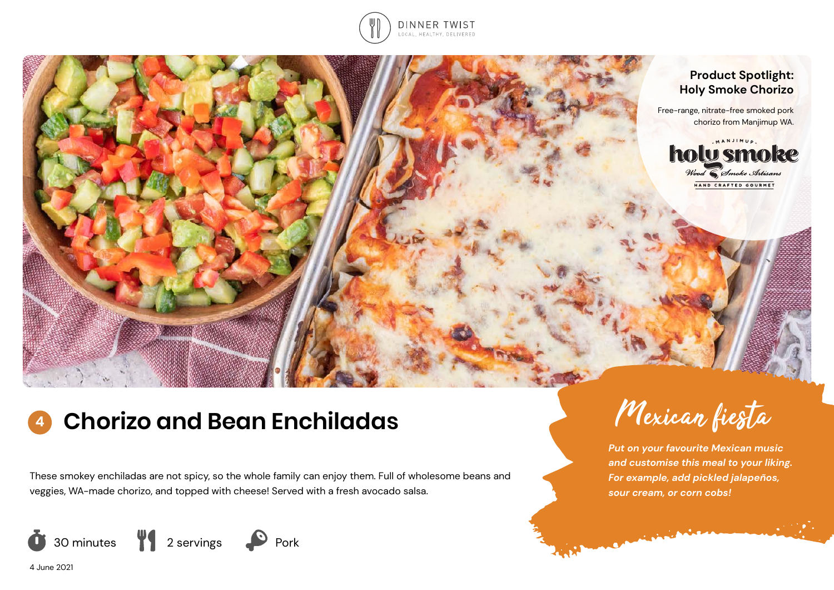



# **<sup>4</sup> Chorizo and Bean Enchiladas**

These smokey enchiladas are not spicy, so the whole family can enjoy them. Full of wholesome beans and veggies, WA-made chorizo, and topped with cheese! Served with a fresh avocado salsa.





*Put on your favourite Mexican music and customise this meal to your liking. For example, add pickled jalapeños, sour cream, or corn cobs!* 

**CALIFORNIA CALIFORNIA** 

4 June 2021